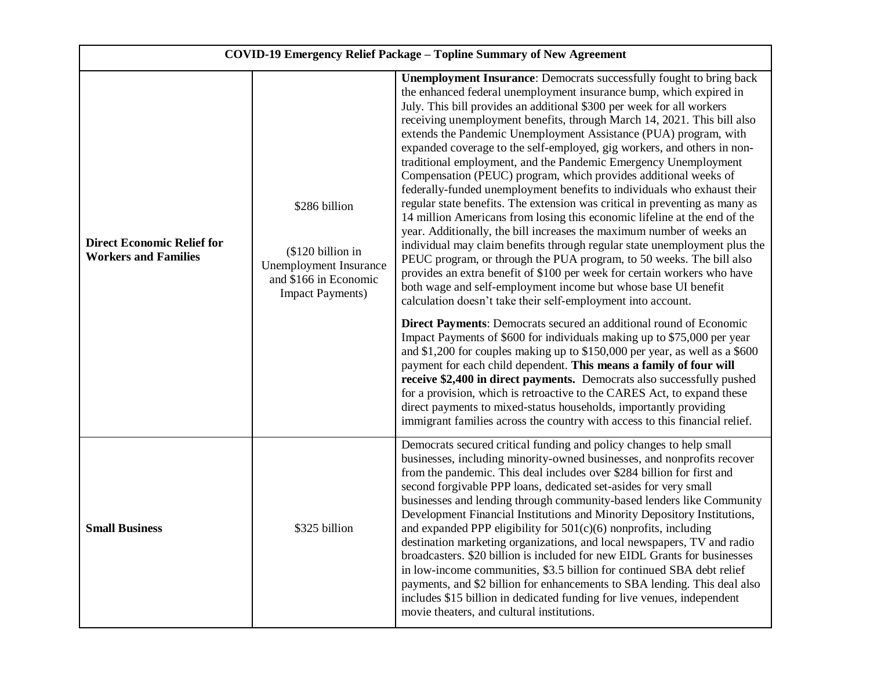| <b>COVID-19 Emergency Relief Package - Topline Summary of New Agreement</b> |                                                                                                                         |                                                                                                                                                                                                                                                                                                                                                                                                                                                                                                                                                                                                                                                                                                                                                                                                                                                                                                                                                                                                                                                                                                                                                                                                                                                                                                                                                                                                                                                                                                                                                                                                                                                                                                                                                                                                                                                                                             |  |
|-----------------------------------------------------------------------------|-------------------------------------------------------------------------------------------------------------------------|---------------------------------------------------------------------------------------------------------------------------------------------------------------------------------------------------------------------------------------------------------------------------------------------------------------------------------------------------------------------------------------------------------------------------------------------------------------------------------------------------------------------------------------------------------------------------------------------------------------------------------------------------------------------------------------------------------------------------------------------------------------------------------------------------------------------------------------------------------------------------------------------------------------------------------------------------------------------------------------------------------------------------------------------------------------------------------------------------------------------------------------------------------------------------------------------------------------------------------------------------------------------------------------------------------------------------------------------------------------------------------------------------------------------------------------------------------------------------------------------------------------------------------------------------------------------------------------------------------------------------------------------------------------------------------------------------------------------------------------------------------------------------------------------------------------------------------------------------------------------------------------------|--|
| <b>Direct Economic Relief for</b><br><b>Workers and Families</b>            | \$286 billion<br>(\$120 billion in<br><b>Unemployment Insurance</b><br>and \$166 in Economic<br><b>Impact Payments)</b> | <b>Unemployment Insurance:</b> Democrats successfully fought to bring back<br>the enhanced federal unemployment insurance bump, which expired in<br>July. This bill provides an additional \$300 per week for all workers<br>receiving unemployment benefits, through March 14, 2021. This bill also<br>extends the Pandemic Unemployment Assistance (PUA) program, with<br>expanded coverage to the self-employed, gig workers, and others in non-<br>traditional employment, and the Pandemic Emergency Unemployment<br>Compensation (PEUC) program, which provides additional weeks of<br>federally-funded unemployment benefits to individuals who exhaust their<br>regular state benefits. The extension was critical in preventing as many as<br>14 million Americans from losing this economic lifeline at the end of the<br>year. Additionally, the bill increases the maximum number of weeks an<br>individual may claim benefits through regular state unemployment plus the<br>PEUC program, or through the PUA program, to 50 weeks. The bill also<br>provides an extra benefit of \$100 per week for certain workers who have<br>both wage and self-employment income but whose base UI benefit<br>calculation doesn't take their self-employment into account.<br>Direct Payments: Democrats secured an additional round of Economic<br>Impact Payments of \$600 for individuals making up to \$75,000 per year<br>and \$1,200 for couples making up to \$150,000 per year, as well as a \$600<br>payment for each child dependent. This means a family of four will<br>receive \$2,400 in direct payments. Democrats also successfully pushed<br>for a provision, which is retroactive to the CARES Act, to expand these<br>direct payments to mixed-status households, importantly providing<br>immigrant families across the country with access to this financial relief. |  |
| <b>Small Business</b>                                                       | \$325 billion                                                                                                           | Democrats secured critical funding and policy changes to help small<br>businesses, including minority-owned businesses, and nonprofits recover<br>from the pandemic. This deal includes over \$284 billion for first and<br>second forgivable PPP loans, dedicated set-asides for very small<br>businesses and lending through community-based lenders like Community<br>Development Financial Institutions and Minority Depository Institutions,<br>and expanded PPP eligibility for 501(c)(6) nonprofits, including<br>destination marketing organizations, and local newspapers, TV and radio<br>broadcasters. \$20 billion is included for new EIDL Grants for businesses<br>in low-income communities, \$3.5 billion for continued SBA debt relief<br>payments, and \$2 billion for enhancements to SBA lending. This deal also<br>includes \$15 billion in dedicated funding for live venues, independent<br>movie theaters, and cultural institutions.                                                                                                                                                                                                                                                                                                                                                                                                                                                                                                                                                                                                                                                                                                                                                                                                                                                                                                                               |  |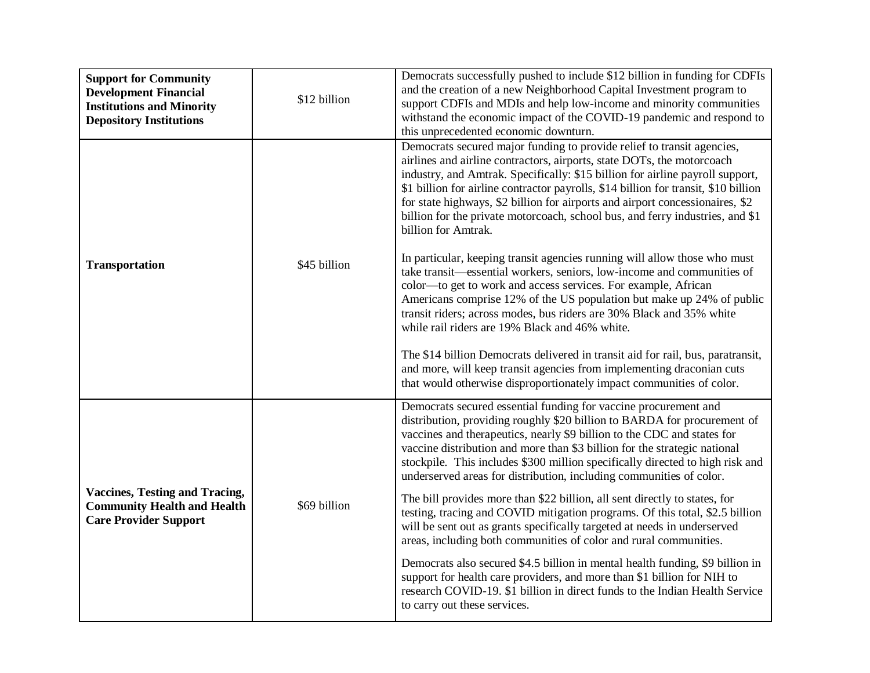| <b>Support for Community</b><br><b>Development Financial</b><br><b>Institutions and Minority</b><br><b>Depository Institutions</b> | \$12 billion | Democrats successfully pushed to include \$12 billion in funding for CDFIs<br>and the creation of a new Neighborhood Capital Investment program to<br>support CDFIs and MDIs and help low-income and minority communities<br>withstand the economic impact of the COVID-19 pandemic and respond to<br>this unprecedented economic downturn.                                                                                                                                                                       |
|------------------------------------------------------------------------------------------------------------------------------------|--------------|-------------------------------------------------------------------------------------------------------------------------------------------------------------------------------------------------------------------------------------------------------------------------------------------------------------------------------------------------------------------------------------------------------------------------------------------------------------------------------------------------------------------|
| <b>Transportation</b>                                                                                                              |              | Democrats secured major funding to provide relief to transit agencies,<br>airlines and airline contractors, airports, state DOTs, the motorcoach<br>industry, and Amtrak. Specifically: \$15 billion for airline payroll support,<br>\$1 billion for airline contractor payrolls, \$14 billion for transit, \$10 billion<br>for state highways, \$2 billion for airports and airport concessionaires, \$2<br>billion for the private motorcoach, school bus, and ferry industries, and \$1<br>billion for Amtrak. |
|                                                                                                                                    | \$45 billion | In particular, keeping transit agencies running will allow those who must<br>take transit—essential workers, seniors, low-income and communities of<br>color—to get to work and access services. For example, African<br>Americans comprise 12% of the US population but make up 24% of public<br>transit riders; across modes, bus riders are 30% Black and 35% white<br>while rail riders are 19% Black and 46% white.                                                                                          |
|                                                                                                                                    |              | The \$14 billion Democrats delivered in transit aid for rail, bus, paratransit,<br>and more, will keep transit agencies from implementing draconian cuts<br>that would otherwise disproportionately impact communities of color.                                                                                                                                                                                                                                                                                  |
| <b>Vaccines, Testing and Tracing,</b><br><b>Community Health and Health</b><br><b>Care Provider Support</b>                        |              | Democrats secured essential funding for vaccine procurement and<br>distribution, providing roughly \$20 billion to BARDA for procurement of<br>vaccines and therapeutics, nearly \$9 billion to the CDC and states for<br>vaccine distribution and more than \$3 billion for the strategic national<br>stockpile. This includes \$300 million specifically directed to high risk and<br>underserved areas for distribution, including communities of color.                                                       |
|                                                                                                                                    | \$69 billion | The bill provides more than \$22 billion, all sent directly to states, for<br>testing, tracing and COVID mitigation programs. Of this total, \$2.5 billion<br>will be sent out as grants specifically targeted at needs in underserved<br>areas, including both communities of color and rural communities.                                                                                                                                                                                                       |
|                                                                                                                                    |              | Democrats also secured \$4.5 billion in mental health funding, \$9 billion in<br>support for health care providers, and more than \$1 billion for NIH to<br>research COVID-19. \$1 billion in direct funds to the Indian Health Service<br>to carry out these services.                                                                                                                                                                                                                                           |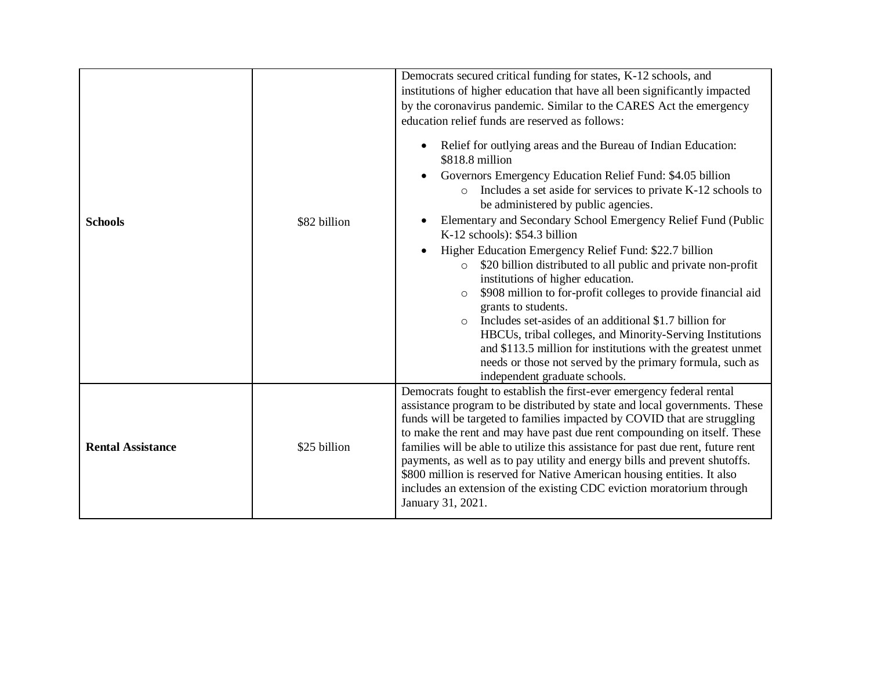| <b>Schools</b>           | \$82 billion | Democrats secured critical funding for states, K-12 schools, and<br>institutions of higher education that have all been significantly impacted<br>by the coronavirus pandemic. Similar to the CARES Act the emergency<br>education relief funds are reserved as follows:<br>Relief for outlying areas and the Bureau of Indian Education:<br>$\bullet$<br>\$818.8 million<br>Governors Emergency Education Relief Fund: \$4.05 billion<br>٠<br>o Includes a set aside for services to private K-12 schools to<br>be administered by public agencies.<br>Elementary and Secondary School Emergency Relief Fund (Public<br>$\bullet$<br>K-12 schools): \$54.3 billion<br>Higher Education Emergency Relief Fund: \$22.7 billion<br>$\bullet$<br>\$20 billion distributed to all public and private non-profit<br>$\circ$<br>institutions of higher education.<br>\$908 million to for-profit colleges to provide financial aid<br>$\circ$<br>grants to students.<br>Includes set-asides of an additional \$1.7 billion for<br>$\Omega$<br>HBCUs, tribal colleges, and Minority-Serving Institutions<br>and \$113.5 million for institutions with the greatest unmet<br>needs or those not served by the primary formula, such as<br>independent graduate schools. |
|--------------------------|--------------|-----------------------------------------------------------------------------------------------------------------------------------------------------------------------------------------------------------------------------------------------------------------------------------------------------------------------------------------------------------------------------------------------------------------------------------------------------------------------------------------------------------------------------------------------------------------------------------------------------------------------------------------------------------------------------------------------------------------------------------------------------------------------------------------------------------------------------------------------------------------------------------------------------------------------------------------------------------------------------------------------------------------------------------------------------------------------------------------------------------------------------------------------------------------------------------------------------------------------------------------------------------------|
| <b>Rental Assistance</b> | \$25 billion | Democrats fought to establish the first-ever emergency federal rental<br>assistance program to be distributed by state and local governments. These<br>funds will be targeted to families impacted by COVID that are struggling<br>to make the rent and may have past due rent compounding on itself. These<br>families will be able to utilize this assistance for past due rent, future rent<br>payments, as well as to pay utility and energy bills and prevent shutoffs.<br>\$800 million is reserved for Native American housing entities. It also<br>includes an extension of the existing CDC eviction moratorium through<br>January 31, 2021.                                                                                                                                                                                                                                                                                                                                                                                                                                                                                                                                                                                                           |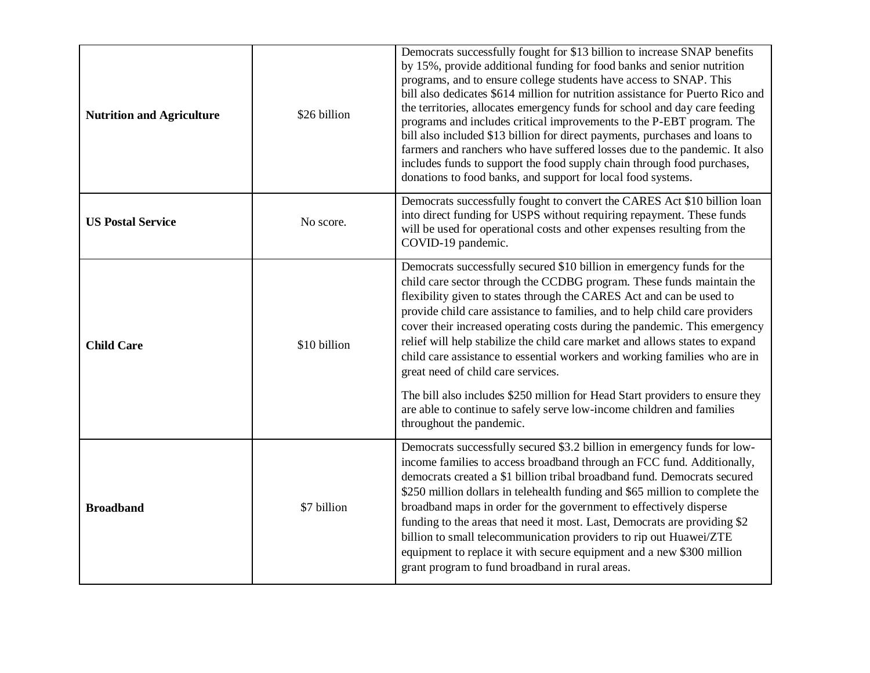| <b>Nutrition and Agriculture</b> | \$26 billion | Democrats successfully fought for \$13 billion to increase SNAP benefits<br>by 15%, provide additional funding for food banks and senior nutrition<br>programs, and to ensure college students have access to SNAP. This<br>bill also dedicates \$614 million for nutrition assistance for Puerto Rico and<br>the territories, allocates emergency funds for school and day care feeding<br>programs and includes critical improvements to the P-EBT program. The<br>bill also included \$13 billion for direct payments, purchases and loans to<br>farmers and ranchers who have suffered losses due to the pandemic. It also<br>includes funds to support the food supply chain through food purchases,<br>donations to food banks, and support for local food systems.    |
|----------------------------------|--------------|------------------------------------------------------------------------------------------------------------------------------------------------------------------------------------------------------------------------------------------------------------------------------------------------------------------------------------------------------------------------------------------------------------------------------------------------------------------------------------------------------------------------------------------------------------------------------------------------------------------------------------------------------------------------------------------------------------------------------------------------------------------------------|
| <b>US Postal Service</b>         | No score.    | Democrats successfully fought to convert the CARES Act \$10 billion loan<br>into direct funding for USPS without requiring repayment. These funds<br>will be used for operational costs and other expenses resulting from the<br>COVID-19 pandemic.                                                                                                                                                                                                                                                                                                                                                                                                                                                                                                                          |
| <b>Child Care</b>                | \$10 billion | Democrats successfully secured \$10 billion in emergency funds for the<br>child care sector through the CCDBG program. These funds maintain the<br>flexibility given to states through the CARES Act and can be used to<br>provide child care assistance to families, and to help child care providers<br>cover their increased operating costs during the pandemic. This emergency<br>relief will help stabilize the child care market and allows states to expand<br>child care assistance to essential workers and working families who are in<br>great need of child care services.<br>The bill also includes \$250 million for Head Start providers to ensure they<br>are able to continue to safely serve low-income children and families<br>throughout the pandemic. |
| <b>Broadband</b>                 | \$7 billion  | Democrats successfully secured \$3.2 billion in emergency funds for low-<br>income families to access broadband through an FCC fund. Additionally,<br>democrats created a \$1 billion tribal broadband fund. Democrats secured<br>\$250 million dollars in telehealth funding and \$65 million to complete the<br>broadband maps in order for the government to effectively disperse<br>funding to the areas that need it most. Last, Democrats are providing \$2<br>billion to small telecommunication providers to rip out Huawei/ZTE<br>equipment to replace it with secure equipment and a new \$300 million<br>grant program to fund broadband in rural areas.                                                                                                          |